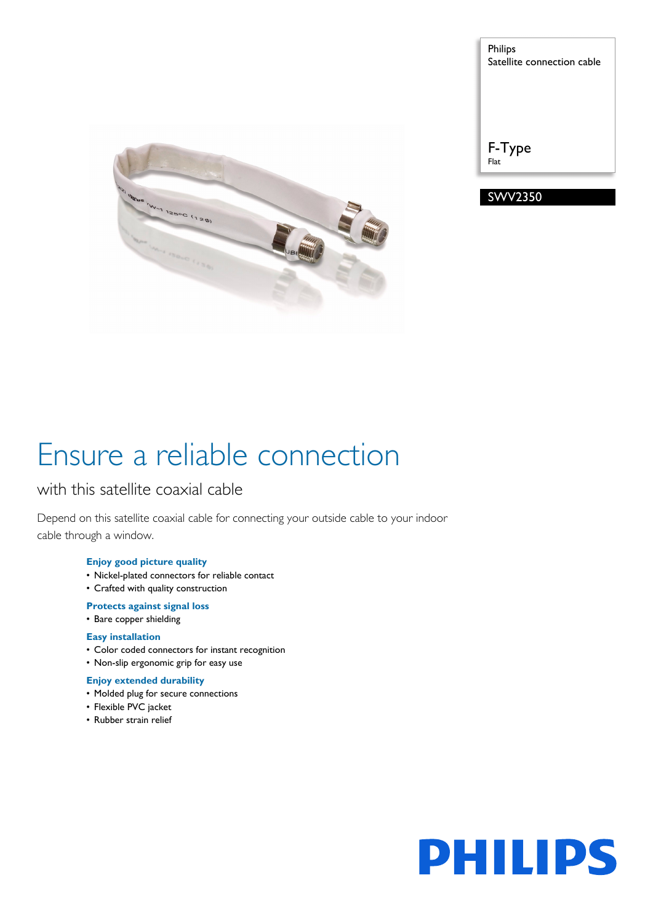

Philips Satellite connection cable

F-Type Flat



# Ensure a reliable connection

### with this satellite coaxial cable

Depend on this satellite coaxial cable for connecting your outside cable to your indoor cable through a window.

### **Enjoy good picture quality**

- Nickel-plated connectors for reliable contact
- Crafted with quality construction

### **Protects against signal loss**

• Bare copper shielding

### **Easy installation**

- Color coded connectors for instant recognition
- Non-slip ergonomic grip for easy use

### **Enjoy extended durability**

- Molded plug for secure connections
- Flexible PVC jacket
- Rubber strain relief